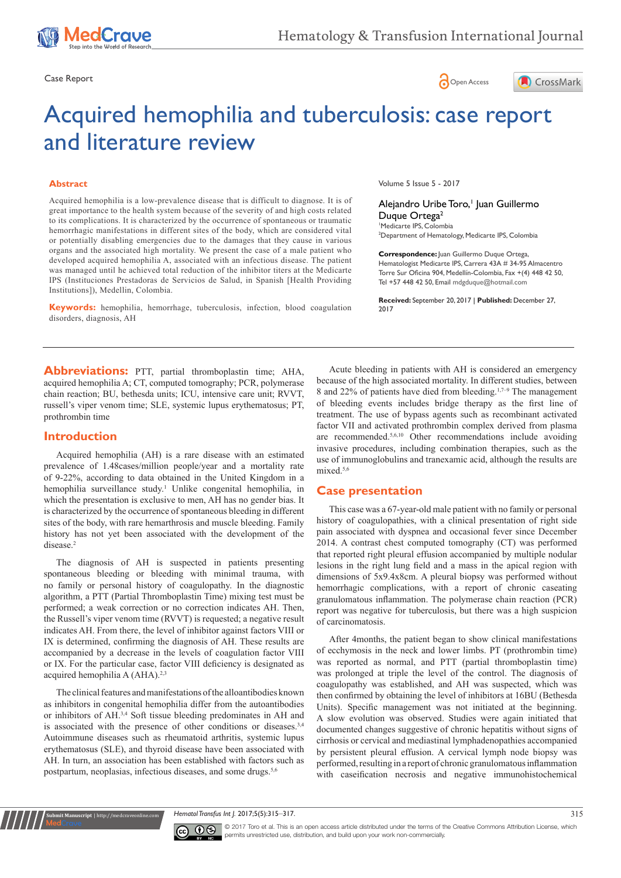edCrave





# Acquired hemophilia and tuberculosis: case report and literature review

#### **Abstract**

Acquired hemophilia is a low-prevalence disease that is difficult to diagnose. It is of great importance to the health system because of the severity of and high costs related to its complications. It is characterized by the occurrence of spontaneous or traumatic hemorrhagic manifestations in different sites of the body, which are considered vital or potentially disabling emergencies due to the damages that they cause in various organs and the associated high mortality. We present the case of a male patient who developed acquired hemophilia A, associated with an infectious disease. The patient was managed until he achieved total reduction of the inhibitor titers at the Medicarte IPS (Instituciones Prestadoras de Servicios de Salud, in Spanish [Health Providing Institutions]), Medellin, Colombia.

**Keywords:** hemophilia, hemorrhage, tuberculosis, infection, blood coagulation disorders, diagnosis, AH

Volume 5 Issue 5 - 2017

Alejandro Uribe Toro,<sup>1</sup> Juan Guillermo Duque Ortega<sup>2</sup> 1 Medicarte IPS, Colombia 2 Department of Hematology, Medicarte IPS, Colombia

**Correspondence:** Juan Guillermo Duque Ortega, Hematologist Medicarte IPS, Carrera 43A # 34-95 Almacentro Torre Sur Oficina 904, Medellín-Colombia, Fax +(4) 448 42 50, Tel +57 448 42 50, Email mdgduque@hotmail.com

**Received:** September 20, 2017 | **Published:** December 27, 2017

**Abbreviations:** PTT, partial thromboplastin time; AHA, acquired hemophilia A; CT, computed tomography; PCR, polymerase chain reaction; BU, bethesda units; ICU, intensive care unit; RVVT, russell's viper venom time; SLE, systemic lupus erythematosus; PT, prothrombin time

## **Introduction**

Acquired hemophilia (AH) is a rare disease with an estimated prevalence of 1.48cases/million people/year and a mortality rate of 9-22%, according to data obtained in the United Kingdom in a hemophilia surveillance study.<sup>1</sup> Unlike congenital hemophilia, in which the presentation is exclusive to men, AH has no gender bias. It is characterized by the occurrence of spontaneous bleeding in different sites of the body, with rare hemarthrosis and muscle bleeding. Family history has not yet been associated with the development of the disease.<sup>2</sup>

The diagnosis of AH is suspected in patients presenting spontaneous bleeding or bleeding with minimal trauma, with no family or personal history of coagulopathy. In the diagnostic algorithm, a PTT (Partial Thromboplastin Time) mixing test must be performed; a weak correction or no correction indicates AH. Then, the Russell's viper venom time (RVVT) is requested; a negative result indicates AH. From there, the level of inhibitor against factors VIII or IX is determined, confirming the diagnosis of AH. These results are accompanied by a decrease in the levels of coagulation factor VIII or IX. For the particular case, factor VIII deficiency is designated as acquired hemophilia A (AHA).<sup>2,3</sup>

The clinical features and manifestations of the alloantibodies known as inhibitors in congenital hemophilia differ from the autoantibodies or inhibitors of AH.3,4 Soft tissue bleeding predominates in AH and is associated with the presence of other conditions or diseases.<sup>3,4</sup> Autoimmune diseases such as rheumatoid arthritis, systemic lupus erythematosus (SLE), and thyroid disease have been associated with AH. In turn, an association has been established with factors such as postpartum, neoplasias, infectious diseases, and some drugs.<sup>5,6</sup>

**nit Manuscript | http://medcraveonline.c** 

Acute bleeding in patients with AH is considered an emergency because of the high associated mortality. In different studies, between 8 and 22% of patients have died from bleeding.1,7–9 The management of bleeding events includes bridge therapy as the first line of treatment. The use of bypass agents such as recombinant activated factor VII and activated prothrombin complex derived from plasma are recommended.5,6,10 Other recommendations include avoiding invasive procedures, including combination therapies, such as the use of immunoglobulins and tranexamic acid, although the results are mixed.<sup>5,6</sup>

# **Case presentation**

This case was a 67-year-old male patient with no family or personal history of coagulopathies, with a clinical presentation of right side pain associated with dyspnea and occasional fever since December 2014. A contrast chest computed tomography (CT) was performed that reported right pleural effusion accompanied by multiple nodular lesions in the right lung field and a mass in the apical region with dimensions of 5x9.4x8cm. A pleural biopsy was performed without hemorrhagic complications, with a report of chronic caseating granulomatous inflammation. The polymerase chain reaction (PCR) report was negative for tuberculosis, but there was a high suspicion of carcinomatosis.

After 4months, the patient began to show clinical manifestations of ecchymosis in the neck and lower limbs. PT (prothrombin time) was reported as normal, and PTT (partial thromboplastin time) was prolonged at triple the level of the control. The diagnosis of coagulopathy was established, and AH was suspected, which was then confirmed by obtaining the level of inhibitors at 16BU (Bethesda Units). Specific management was not initiated at the beginning. A slow evolution was observed. Studies were again initiated that documented changes suggestive of chronic hepatitis without signs of cirrhosis or cervical and mediastinal lymphadenopathies accompanied by persistent pleural effusion. A cervical lymph node biopsy was performed, resulting in a report of chronic granulomatous inflammation with caseification necrosis and negative immunohistochemical

*Hematol Transfus Int J.* 2017;5(5):315‒317. 315



© 2017 Toro et al. This is an open access article distributed under the terms of the [Creative Commons Attribution License](https://creativecommons.org/licenses/by-nc/4.0/), which permits unrestricted use, distribution, and build upon your work non-commercially.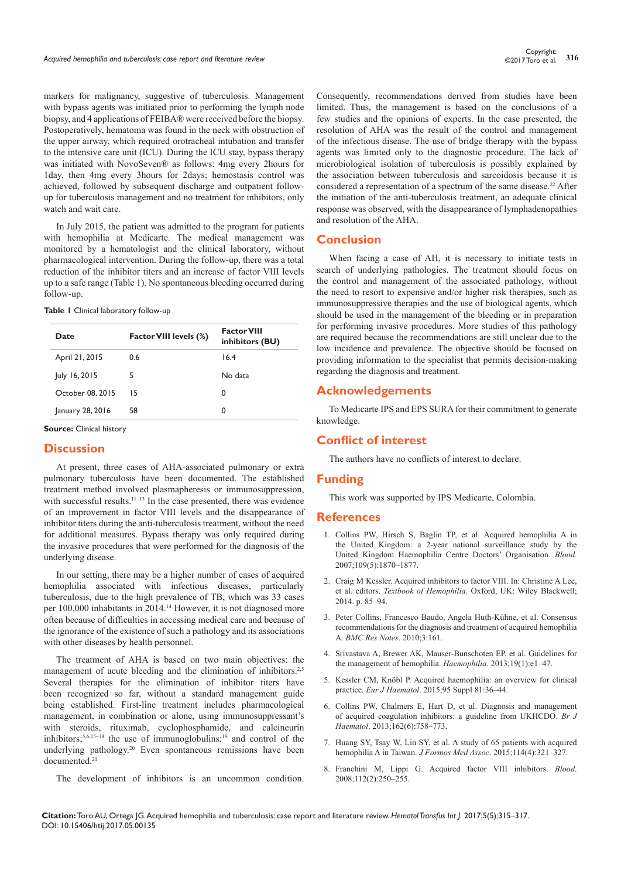markers for malignancy, suggestive of tuberculosis. Management with bypass agents was initiated prior to performing the lymph node biopsy, and 4 applications of FEIBA® were received before the biopsy. Postoperatively, hematoma was found in the neck with obstruction of the upper airway, which required orotracheal intubation and transfer to the intensive care unit (ICU). During the ICU stay, bypass therapy was initiated with NovoSeven® as follows: 4mg every 2hours for 1day, then 4mg every 3hours for 2days; hemostasis control was achieved, followed by subsequent discharge and outpatient followup for tuberculosis management and no treatment for inhibitors, only watch and wait care.

In July 2015, the patient was admitted to the program for patients with hemophilia at Medicarte. The medical management was monitored by a hematologist and the clinical laboratory, without pharmacological intervention. During the follow-up, there was a total reduction of the inhibitor titers and an increase of factor VIII levels up to a safe range (Table 1). No spontaneous bleeding occurred during follow-up.

|  |  | Table I Clinical laboratory follow-up |  |
|--|--|---------------------------------------|--|
|--|--|---------------------------------------|--|

| Date             | Factor VIII levels (%) | <b>Factor VIII</b><br>inhibitors (BU) |
|------------------|------------------------|---------------------------------------|
| April 21, 2015   | 0.6                    | 16.4                                  |
| July 16, 2015    | 5                      | No data                               |
| October 08, 2015 | 15                     | 0                                     |
| January 28, 2016 | 58                     | 0                                     |

**Source:** Clinical history

## **Discussion**

At present, three cases of AHA-associated pulmonary or extra pulmonary tuberculosis have been documented. The established treatment method involved plasmapheresis or immunosuppression, with successful results.<sup>11–13</sup> In the case presented, there was evidence of an improvement in factor VIII levels and the disappearance of inhibitor titers during the anti-tuberculosis treatment, without the need for additional measures. Bypass therapy was only required during the invasive procedures that were performed for the diagnosis of the underlying disease.

In our setting, there may be a higher number of cases of acquired hemophilia associated with infectious diseases, particularly tuberculosis, due to the high prevalence of TB, which was 33 cases per 100,000 inhabitants in 2014.14 However, it is not diagnosed more often because of difficulties in accessing medical care and because of the ignorance of the existence of such a pathology and its associations with other diseases by health personnel.

The treatment of AHA is based on two main objectives: the management of acute bleeding and the elimination of inhibitors.<sup>2,5</sup> Several therapies for the elimination of inhibitor titers have been recognized so far, without a standard management guide being established. First-line treatment includes pharmacological management, in combination or alone, using immunosuppressant's with steroids, rituximab, cyclophosphamide, and calcineurin inhibitors;5,6,15–18 the use of immunoglobulins;19 and control of the underlying pathology.<sup>20</sup> Even spontaneous remissions have been documented.21

The development of inhibitors is an uncommon condition.

Consequently, recommendations derived from studies have been limited. Thus, the management is based on the conclusions of a few studies and the opinions of experts. In the case presented, the resolution of AHA was the result of the control and management of the infectious disease. The use of bridge therapy with the bypass agents was limited only to the diagnostic procedure. The lack of microbiological isolation of tuberculosis is possibly explained by the association between tuberculosis and sarcoidosis because it is considered a representation of a spectrum of the same disease.<sup>22</sup> After the initiation of the anti-tuberculosis treatment, an adequate clinical response was observed, with the disappearance of lymphadenopathies and resolution of the AHA.

## **Conclusion**

When facing a case of AH, it is necessary to initiate tests in search of underlying pathologies. The treatment should focus on the control and management of the associated pathology, without the need to resort to expensive and/or higher risk therapies, such as immunosuppressive therapies and the use of biological agents, which should be used in the management of the bleeding or in preparation for performing invasive procedures. More studies of this pathology are required because the recommendations are still unclear due to the low incidence and prevalence. The objective should be focused on providing information to the specialist that permits decision-making regarding the diagnosis and treatment.

## **Acknowledgements**

To Medicarte IPS and EPS SURA for their commitment to generate knowledge.

# **Conflict of interest**

The authors have no conflicts of interest to declare.

#### **Funding**

This work was supported by IPS Medicarte, Colombia.

#### **References**

- 1. [Collins PW, Hirsch S, Baglin TP, et al. Acquired hemophilia A in](https://www.ncbi.nlm.nih.gov/pubmed/17047148)  [the United Kingdom: a 2-year national surveillance study by the](https://www.ncbi.nlm.nih.gov/pubmed/17047148)  [United Kingdom Haemophilia Centre Doctors' Organisation.](https://www.ncbi.nlm.nih.gov/pubmed/17047148) *Blood*. [2007;109\(5\):1870–1877.](https://www.ncbi.nlm.nih.gov/pubmed/17047148)
- 2. [Craig M Kessler. Acquired inhibitors to factor VIII. In: Christine A Lee,](http://onlinelibrary.wiley.com/doi/10.1002/9781118398258.ch12/summary)  et al. editors. *Textbook of Hemophilia*[. Oxford, UK: Wiley Blackwell;](http://onlinelibrary.wiley.com/doi/10.1002/9781118398258.ch12/summary)  [2014. p. 85–94.](http://onlinelibrary.wiley.com/doi/10.1002/9781118398258.ch12/summary)
- 3. Peter Collins, Francesco Baudo, Angela [Huth-Kühne, et al. Consensus](https://bmcresnotes.biomedcentral.com/articles/10.1186/1756-0500-3-161)  [recommendations for the diagnosis and treatment of acquired hemophilia](https://bmcresnotes.biomedcentral.com/articles/10.1186/1756-0500-3-161)  A. *[BMC Res Notes](https://bmcresnotes.biomedcentral.com/articles/10.1186/1756-0500-3-161)*. 2010;3:161.
- 4. [Srivastava A, Brewer AK, Mauser-Bunschoten EP, et al. Guidelines for](https://www.ncbi.nlm.nih.gov/pubmed/22776238)  [the management of hemophilia.](https://www.ncbi.nlm.nih.gov/pubmed/22776238) *Haemophilia*. 2013;19(1):e1–47.
- 5. [Kessler CM, Knöbl P. Acquired haemophilia: an overview for clinical](https://www.ncbi.nlm.nih.gov/pubmed/26679396)  practice. *Eur J Haematol*[. 2015;95 Suppl 81:36–44.](https://www.ncbi.nlm.nih.gov/pubmed/26679396)
- 6. [Collins PW, Chalmers E, Hart D, et al. Diagnosis and management](https://www.ncbi.nlm.nih.gov/pubmed/23889317)  [of acquired coagulation inhibitors: a guideline from UKHCDO.](https://www.ncbi.nlm.nih.gov/pubmed/23889317) *Br J Haematol*[. 2013;162\(6\):758–773.](https://www.ncbi.nlm.nih.gov/pubmed/23889317)
- 7. [Huang SY, Tsay W, Lin SY, et al. A study of 65 patients with acquired](https://www.ncbi.nlm.nih.gov/pubmed/25839765)  [hemophilia A in Taiwan.](https://www.ncbi.nlm.nih.gov/pubmed/25839765) *J Formos Med Assoc*. 2015;114(4):321–327.
- 8. [Franchini M, Lippi G. Acquired factor VIII inhibitors.](https://www.ncbi.nlm.nih.gov/pubmed/18463353) *Blood*. [2008;112\(2\):250–255.](https://www.ncbi.nlm.nih.gov/pubmed/18463353)